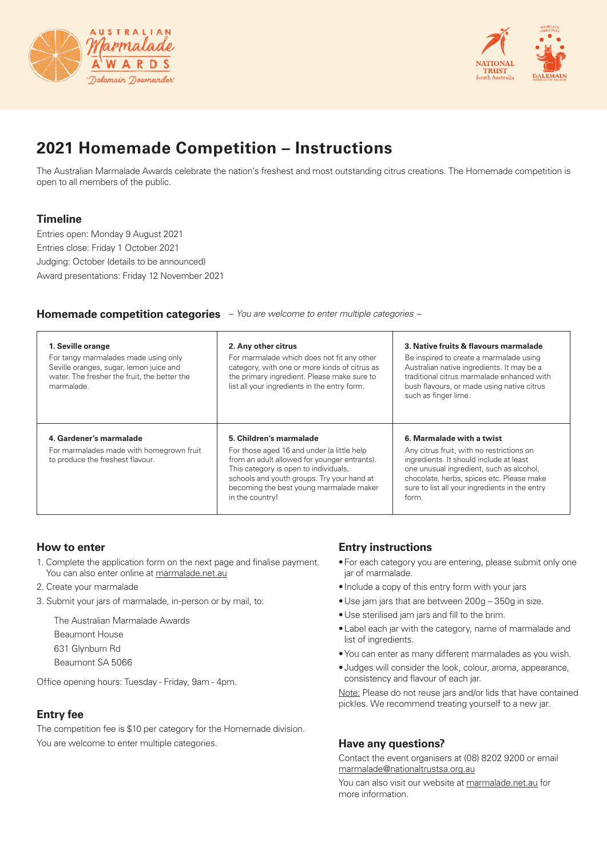



# **2021 Homemade Competition – Instructions**

The Australian Marmalade Awards celebrate the nation's freshest and most outstanding citrus creations. The Homemade competition is open to all members of the public.

## **Timeline**

Entries open: Monday 9 August 2021 Entries close: Friday 1 October 2021 Judging: October (details to be announced) Award presentations: Friday 12 November 2021

#### **Homemade competition categories** *~ You are welcome to enter multiple categories ~*

| 1. Seville orange<br>For tangy marmalades made using only<br>Seville oranges, sugar, lemon juice and<br>water. The fresher the fruit, the better the<br>marmalade. | 2. Any other citrus<br>For marmalade which does not fit any other<br>category, with one or more kinds of citrus as<br>the primary ingredient. Please make sure to<br>list all your ingredients in the entry form.                                                          | 3. Native fruits & flavours marmalade<br>Be inspired to create a marmalade using<br>Australian native ingredients. It may be a<br>traditional citrus marmalade enhanced with<br>bush flavours, or made using native citrus<br>such as finger lime.                    |
|--------------------------------------------------------------------------------------------------------------------------------------------------------------------|----------------------------------------------------------------------------------------------------------------------------------------------------------------------------------------------------------------------------------------------------------------------------|-----------------------------------------------------------------------------------------------------------------------------------------------------------------------------------------------------------------------------------------------------------------------|
| 4. Gardener's marmalade<br>For marmalades made with homegrown fruit<br>to produce the freshest flavour.                                                            | 5. Children's marmalade<br>For those aged 16 and under (a little help<br>from an adult allowed for younger entrants).<br>This category is open to individuals,<br>schools and youth groups. Try your hand at<br>becoming the best young marmalade maker<br>in the country! | 6. Marmalade with a twist<br>Any citrus fruit, with no restrictions on<br>ingredients. It should include at least<br>one unusual ingredient, such as alcohol,<br>chocolate, herbs, spices etc. Please make<br>sure to list all your ingredients in the entry<br>form. |

### **How to enter**

- 1. Complete the application form on the next page and finalise payment. You can also enter online at marmalade.net.au
- 2. Create your marmalade
- 3. Submit your jars of marmalade, in-person or by mail, to:

The Australian Marmalade Awards Beaumont House 631 Glynburn Rd Beaumont SA 5066

Office opening hours: Tuesday - Friday, 9am - 4pm.

### **Entry fee**

The competition fee is \$10 per category for the Homemade division. You are welcome to enter multiple categories.

## **Entry instructions**

- •For each category you are entering, please submit only one jar of marmalade.
- Include a copy of this entry form with your jars
- •Use jam jars that are between 200g 350g in size.
- •Use sterilised jam jars and fill to the brim.
- •Label each jar with the category, name of marmalade and list of ingredients.
- •You can enter as many different marmalades as you wish.
- Judges will consider the look, colour, aroma, appearance, consistency and flavour of each jar.

Note: Please do not reuse jars and/or lids that have contained pickles. We recommend treating yourself to a new jar.

### **Have any questions?**

Contact the event organisers at (08) 8202 9200 or email marmalade@nationaltrustsa.org.au

You can also visit our website at marmalade.net.au for more information.